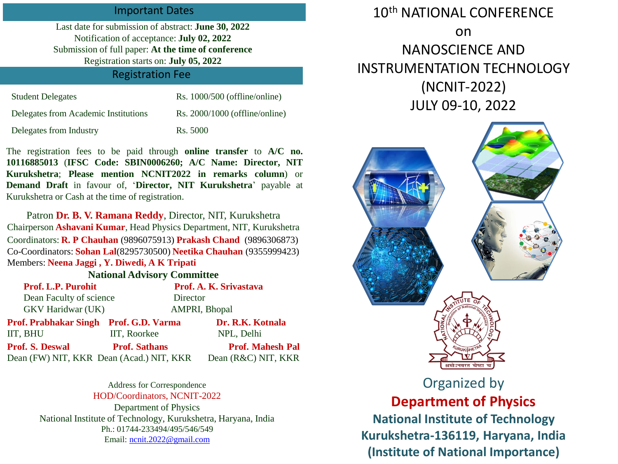### Important Dates

Last date for submission of abstract: **June 30, 2022** Notification of acceptance: **July 02, 2022** Submission of full paper: **At the time of conference** Registration starts on: **July 05, 2022**

### Registration Fee

| <b>Student Delegates</b>             | $Rs. 1000/500$ (offline/online)  |
|--------------------------------------|----------------------------------|
| Delegates from Academic Institutions | $Rs. 2000/1000$ (offline/online) |
| Delegates from Industry              | Rs. 5000                         |

The registration fees to be paid through **online transfer** to **A/C no. 10116885013** (**IFSC Code: SBIN0006260; A/C Name: Director, NIT Kurukshetra**; **Please mention NCNIT2022 in remarks column**) or **Demand Draft** in favour of, '**Director, NIT Kurukshetra**' payable at Kurukshetra or Cash at the time of registration.

Patron **Dr. B. V. Ramana Reddy**, Director, NIT, Kurukshetra Chairperson **Ashavani Kumar**, Head Physics Department, NIT, Kurukshetra Coordinators: **R. P Chauhan** (9896075913) **Prakash Chand** (9896306873) Co-Coordinators: **Sohan Lal**(8295730500) **Neetika Chauhan** (9355999423) Members: **Neena Jaggi , Y. Diwedi, A K Tripati**

#### **National Advisory Committee**

| Prof. L.P. Purohit                       |                      | Prof. A. K. Srivastava  |
|------------------------------------------|----------------------|-------------------------|
| Dean Faculty of science                  | Director             |                         |
| <b>GKV</b> Haridwar (UK)                 |                      | <b>AMPRI, Bhopal</b>    |
| Prof. Prabhakar Singh Prof. G.D. Varma   |                      | Dr. R.K. Kotnala        |
| IIT, BHU                                 | IIT, Roorkee         | NPL, Delhi              |
| <b>Prof. S. Deswal</b>                   | <b>Prof. Sathans</b> | <b>Prof. Mahesh Pal</b> |
| Dean (FW) NIT, KKR Dean (Acad.) NIT, KKR |                      | Dean (R&C) NIT, KKR     |

Address for Correspondence HOD/Coordinators, NCNIT-2022 Department of Physics National Institute of Technology, Kurukshetra, Haryana, India Ph.: 01744-233494/495/546/549 Email: [ncnit.2022@gmail.com](mailto:ncnit.2022@gmail.com)

# 10<sup>th</sup> NATIONAL CONFERENCE on NANOSCIENCE AND INSTRUMENTATION TECHNOLOGY (NCNIT-2022) JULY 09-10, 2022



# Organized by **Department of Physics**

**National Institute of Technology Kurukshetra-136119, Haryana, India (Institute of National Importance)**